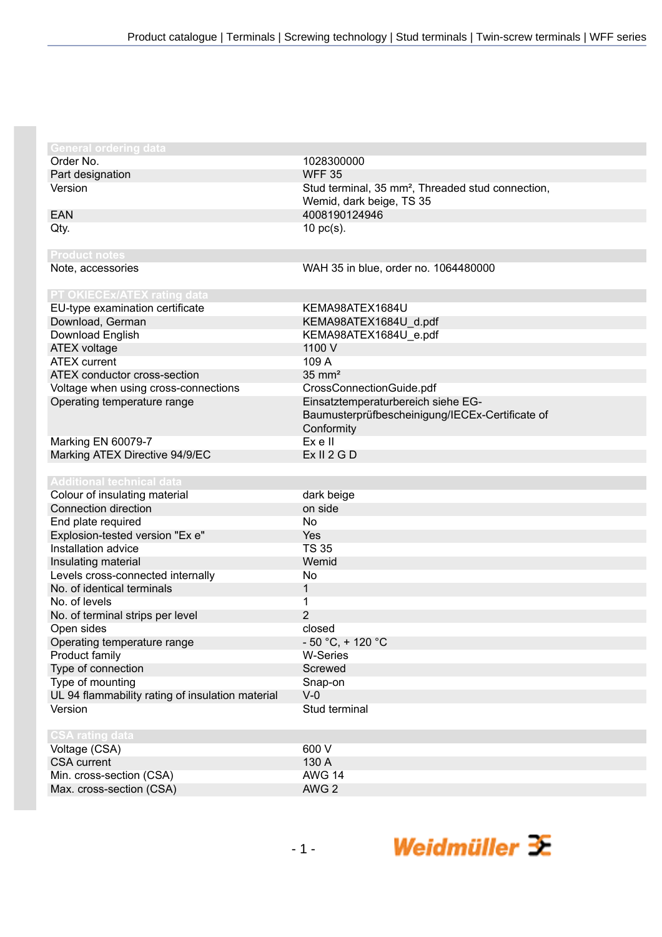| <b>General ordering data</b>                     |                                                               |
|--------------------------------------------------|---------------------------------------------------------------|
| Order No.                                        | 1028300000                                                    |
| Part designation                                 | <b>WFF 35</b>                                                 |
| Version                                          | Stud terminal, 35 mm <sup>2</sup> , Threaded stud connection, |
|                                                  | Wemid, dark beige, TS 35                                      |
| <b>EAN</b>                                       | 4008190124946                                                 |
| Qty.                                             | $10$ pc(s).                                                   |
|                                                  |                                                               |
| <b>Product notes</b>                             |                                                               |
| Note, accessories                                | WAH 35 in blue, order no. 1064480000                          |
| PT OKIECEx/ATEX rating data                      |                                                               |
| EU-type examination certificate                  | KEMA98ATEX1684U                                               |
|                                                  |                                                               |
| Download, German                                 | KEMA98ATEX1684U_d.pdf                                         |
| Download English                                 | KEMA98ATEX1684U_e.pdf                                         |
| <b>ATEX voltage</b>                              | 1100 V                                                        |
| <b>ATEX</b> current                              | 109 A                                                         |
| ATEX conductor cross-section                     | $35 \text{ mm}^2$                                             |
| Voltage when using cross-connections             | CrossConnectionGuide.pdf                                      |
| Operating temperature range                      | Einsatztemperaturbereich siehe EG-                            |
|                                                  | Baumusterprüfbescheinigung/IECEx-Certificate of               |
|                                                  | Conformity                                                    |
| Marking EN 60079-7                               | Ex e II                                                       |
| Marking ATEX Directive 94/9/EC                   | Ex II 2 G D                                                   |
|                                                  |                                                               |
| <b>Additional technical data</b>                 |                                                               |
| Colour of insulating material                    | dark beige                                                    |
| Connection direction                             | on side                                                       |
| End plate required                               | <b>No</b>                                                     |
| Explosion-tested version "Ex e"                  | Yes                                                           |
| Installation advice                              | <b>TS 35</b>                                                  |
| Insulating material                              | Wemid                                                         |
| Levels cross-connected internally                | No                                                            |
| No. of identical terminals                       | $\mathbf{1}$                                                  |
| No. of levels                                    | 1                                                             |
| No. of terminal strips per level                 | $\overline{2}$                                                |
| Open sides                                       | closed                                                        |
| Operating temperature range                      | $-50 °C$ , + 120 °C                                           |
| Product family                                   | <b>W-Series</b>                                               |
| Type of connection                               | Screwed                                                       |
| Type of mounting                                 | Snap-on                                                       |
| UL 94 flammability rating of insulation material | $V-0$                                                         |
| Version                                          | Stud terminal                                                 |
|                                                  |                                                               |
| <b>CSA rating data</b>                           |                                                               |
| Voltage (CSA)                                    | 600 V                                                         |
| <b>CSA</b> current                               | 130 A                                                         |
| Min. cross-section (CSA)                         | <b>AWG 14</b>                                                 |
| Max. cross-section (CSA)                         | AWG <sub>2</sub>                                              |

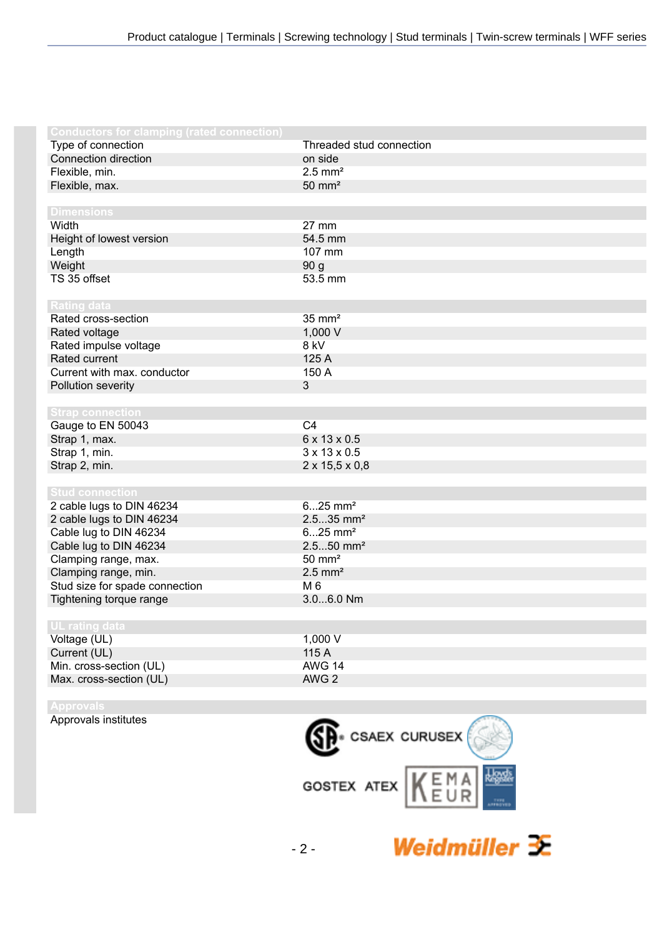| <b>Conductors for clamping (rated connection)</b> |                            |
|---------------------------------------------------|----------------------------|
| Type of connection                                | Threaded stud connection   |
| Connection direction                              | on side                    |
| Flexible, min.                                    | $2.5$ mm <sup>2</sup>      |
| Flexible, max.                                    | $50 \text{ mm}^2$          |
|                                                   |                            |
| <b>Dimensions</b>                                 |                            |
| Width                                             | 27 mm                      |
| Height of lowest version                          | 54.5 mm                    |
| Length                                            | 107 mm                     |
| Weight                                            | 90 g                       |
| TS 35 offset                                      | 53.5 mm                    |
|                                                   |                            |
| <b>Rating data</b>                                |                            |
| Rated cross-section                               | $35 \text{ mm}^2$          |
| Rated voltage                                     | 1,000 V                    |
| Rated impulse voltage                             | 8 kV                       |
| <b>Rated current</b>                              | 125 A                      |
| Current with max. conductor                       | 150 A                      |
| Pollution severity                                | $\mathbf{3}$               |
|                                                   |                            |
| <b>Strap connection</b>                           |                            |
| Gauge to EN 50043                                 | C <sub>4</sub>             |
| Strap 1, max.                                     | 6 x 13 x 0.5               |
| Strap 1, min.                                     | $3 \times 13 \times 0.5$   |
| Strap 2, min.                                     | $2 \times 15,5 \times 0,8$ |
|                                                   |                            |
| <b>Stud connection</b>                            |                            |
| 2 cable lugs to DIN 46234                         | $625$ mm <sup>2</sup>      |
| 2 cable lugs to DIN 46234                         | $2.535$ mm <sup>2</sup>    |
| Cable lug to DIN 46234                            | $625$ mm <sup>2</sup>      |
| Cable lug to DIN 46234                            | $2.550$ mm <sup>2</sup>    |
| Clamping range, max.                              | $50 \text{ mm}^2$          |
| Clamping range, min.                              | $2.5$ mm <sup>2</sup>      |
| Stud size for spade connection                    | M 6                        |
| Tightening torque range                           | 3.06.0 Nm                  |
|                                                   |                            |
| UL rating data                                    |                            |
| Voltage (UL)                                      | 1,000 V                    |
| Current (UL)                                      | 115 A                      |
| Min. cross-section (UL)                           | <b>AWG 14</b>              |
| Max. cross-section (UL)                           | AWG <sub>2</sub>           |
|                                                   |                            |



Approvals institutes